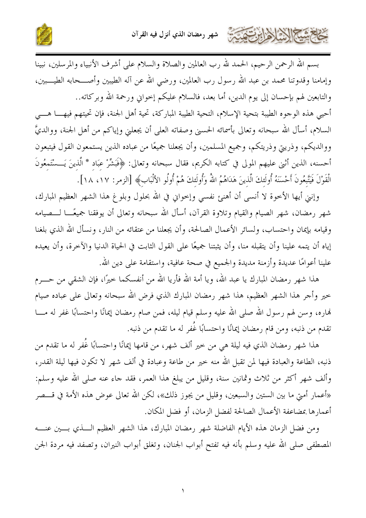

بسم الله الرحمن الرحيم، الحمد لله رب العالمين والصلاة والسلام على أشرف الأنبياء والمرسلين، نبينا وإمامنا وقدوتنا محمد بن عبد الله رسول رب العالمين، ورضى الله عن آله الطيبين وأصــــحابه الطيــــبين، والتابعين لهم بإحسان إلى يوم الدين، أما بعد، فالسلام عليكم إحواني ورحمة الله وبركاته.. أحيي هذه الوحوه الطيبة بتحية الإسلام، التحية الطيبة المباركة، تحية أهل الجنة، فإن تحيتهم فيهــــا هــــي السلام، أسأل الله سبحانه وتعالى بأسمائه الحسني وصفاته العلي أن يجعلني وإياكم من أهل الجنة، ووالديَّ

ووالديكم، وذريتي وذريتكم، وجميع المسلمين، وأن يجعلنا جميعًا من عباده الذين يستمعون القول فيتبعون أحسنه، الذين أثني عليهم المولى في كتابه الكريم، فقال سبحانه وتعالى: ﴿فَبَشِّرْ عِبَادٍ \* الَّذينَ يَـــسْتَمعُونَ الْقَوْلَ فَيَتَّبِعُونَ أَحْسَنَهُ أُولَئكَ الَّذينَ هَدَاهُمُ اللهُ وَأُولَئكَ هُمْ أُولُو الألْبَابِ﴾ [الزمر: ١٧، ١٨] .

وإنني أيها الأخوة لا أنسى أن أهنئ نفسي وإخواني في الله بحلول وبلوغ هذا الشهر العظيم المبارك، شهر رمضان، شهر الصيام والقيام وتلاوة القرآن، أسأل الله سبحانه وتعالى أن يوفقنا جميعًـــا لـــصيامه وقيامه بإيمان واحتساب، ولسائر الأعمال الصالحة، وأن يجعلنا من عتقائه من النار، ونسأل الله الذي بلغنا إياه أن يتمه علينا وأن يتقبله منا، وأن يثبتنا جميعًا على القول الثابت في الحياة الدنيا والآخرة، وأن يعيده علينا أعوامًا عديدة وأزمنة مديدة والجميع في صحة عافية، واستقامة على دين الله.

هذا شهر رمضان المبارك يا عبد الله، ويا أمة الله فأريا الله من أنفسكما حيرًا، فإن الشقى من حــــرم خير وأحر هذا الشهر العظيم، هذا شهر رمضان المبارك الذي فرض الله سبحانه وتعالى على عباده صيام نهاره، وسن لهم رسول الله صلى الله عليه وسلم قيام ليله، فمن صام رمضان إيمانًا واحتسابًا غفر له مـــا تقدم من ذنبه، ومن قام رمضان إيمانًا واحتسابًا غُفر له ما تقدم من ذنبه.

هذا شهر رمضان الذي فيه ليلة هي من خير ألف شهر، من قامها إيمانًا واحتسابًا غُفر له ما تقدم من ذنبه، الطاعة والعبادة فيها لمن تقبل الله منه خير من طاعة وعبادة في ألف شهر لا تكون فيها ليلة القدر، وألف شهر أكثر من ثلاث وثمانين سنة، وقليل من يبلغ هذا العمر، فقد جاء عنه صلى الله عليه وسلم: «أعمار أمتي ما بين الستين والسبعين، وقليل من يجوز ذلك»، لكن الله تعالى عوض هذه الأمة في قـــصر أعمارها بمضاعفة الأعمال الصالحة لفضل الزمان، أو فضل المكان.

ومن فضل الزمان هذه الأيام الفاضلة شهر رمضان المبارك، هذا الشهر العظيم السذي بسين عنسه المصطفى صلى الله عليه وسلم بأنه فيه تفتح أبواب الجنان، وتغلق أبواب النيران، وتصفد فيه مردة الجن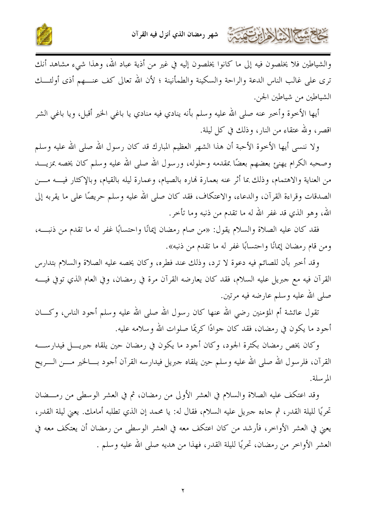



والشياطين فلا يخلصون فيه إلى ما كانوا يخلصون إليه في غير من أذية عباد الله، وهذا شيء مشاهد أنك ترى على غالب الناس الدعة والراحة والسكينة والطمأنينة ؛ لأن الله تعالى كف عنـــهم أذى أولئــــك الشياطين من شياطين الجن.

أيها الأخوة وأخبر عنه صلى الله عليه وسلم بأنه ينادي فيه منادي يا باغي الخير أقبل، ويا باغي الشر اقصر، ولله عتقاء من النار، وذلك في كل ليلة.

ولا ننسى أيها الأخوة الأحبة أن هذا الشهر العظيم المبارك قد كان رسول الله صلى الله عليه وسلم وصحبه الكرام يهنئ بعضهم بعضًا بمقدمه وحلوله، ورسول الله صلى الله عليه وسلم كان يخصه بمزيـــد من العناية والاهتمام، وذلك بما أثر عنه بعمارة فماره بالصيام، وعمارة ليله بالقيام، وبالإكثار فيــــه مــــن الصدقات وقراءة القرآن، والدعاء، والاعتكاف، فقد كان صلى الله عليه وسلم حريصًا على ما يقربه إلى الله، وهو الذي قد غفر الله له ما تقدم من ذنبه وما تأخر.

فقد كان عليه الصلاة والسلام يقول: «من صام رمضان إيمانًا واحتسابًا غفر له ما تقدم من ذنبـــه، ومن قام رمضان إيمانًا واحتسابًا غفر له ما تقدم من ذنبه».

وقد أخبر بأن للصائم فيه دعوة لا ترد، وذلك عند فطره، وكان يخصه عليه الصلاة والسلام بتدارس القرآن فيه مع جبريل عليه السلام، فقد كان يعارضه القرآن مرة في رمضان، وفي العام الذي توفي فيــــه صلى الله عليه وسلم عارضه فيه مرتين.

تقول عائشة أم المؤمنين رضي الله عنها كان رسول الله صلى الله عليه وسلم أجود الناس، وكـــان أجود ما يكون في رمضان، فقد كان جوادًا كريمًا صلوات الله وسلامه عليه.

وكان يخص رمضان بكثرة الجود، وكان أجود ما يكون في رمضان حين يلقاه حبريــــل فيدارســــه القرآن، فلرسول الله صلى الله عليه وسلم حين يلقاه جبريل فيدارسه القرآن أحود بــــالخير مـــــن الـــــريح المرسلة.

وقد اعتكف عليه الصلاة والسلام في العشر الأولى من رمضان، ثم في العشر الوسطى من رمـــضان تحريًا لليلة القدر، ثم جاءه جبريل عليه السلام، فقال له: يا محمد إن الذي تطلبه أمامك. يعني ليلة القدر، يعني في العشر الأواخر، فأرشد من كان اعتكف معه في العشر الوسطى من رمضان أن يعتكف معه في العشر الأواخر من رمضان، تحريًا لليلة القدر، فهذا من هديه صلى الله عليه وسلم .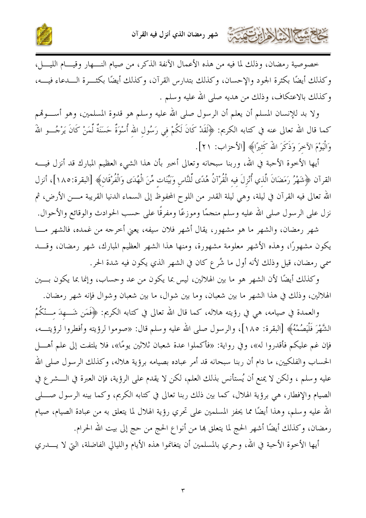

خصوصية رمضان، وذلك لما فيه من هذه الأعمال الآنفة الذكر، من صيام النــــهار وقيـــام الليــــل، وكذلك أيضًا بكثرة الجود والإحسان، وكذلك بتدارس القرآن، وكذلك أيضًا بكثــرة الـــدعاء فيــــه، وكذلك بالاعتكاف، وذلك من هديه صلى الله عليه وسلم .

ولا بد للإنسان المسلم أن يعلم أن الرسول صلى الله عليه وسلم هو قدوة المسلمين، وهو أســــوقمم كما قال الله تعالى عنه في كتابه الكريم: ﴿لَقَدْ كَانَ لَكُمْ في رَسُول الله أُسْوَةٌ حَسَنَةٌ لِّمَنْ كَانَ يَرْجُـــو اللهَ وَالْيَوْمَ الآخرَ وَذَكَرَ اللهُ كَثيرًا﴾ [الأحزاب: ٢١].

أيها الأخوة الأحبة في الله، وربنا سبحانه وتعالى أخبر بأن هذا الشيء العظيم المبارك قد أنزل فيــــه القرآن ﴿شَهْرُ رَمَضَانَ الَّذي أُنْزِلَ فيه الْقُرْآنُ هُدًى لِّلنَّاس وَبَيِّنَات مِّنَ الْهُدَى وَالْفُرْقَان﴾ [البقرة:٨٨]، أنزل الله تعالى فيه القرآن في ليلة، وهي ليلة القدر من اللوح المحفوظ إلى السماء الدنيا القريبة مــــن الأرض، ثم نزل على الرسول صلى الله عليه وسلم منجمًا وموزعًا ومفرقًا على حسب الحوادث والوقائع والأحوال.

شهر رمضان، والشهر ما هو مشهور، يقال أشهر فلان سيفه، يعني أخرجه من غمده، فالشهر مـــا يكون مشهورًا، وهذه الأشهر معلومة مشهورة، ومنها هذا الشهر العظيم المبارك، شهر رمضان، وقـــد سمي رمضان، قيل وذلك لأنه أول ما شُرع كان في الشهر الذي يكون فيه شدة الحر.

وكذلك أيضًا لأن الشهر هو ما بين الهلالين، ليس بما يكون من عد وحساب، وإنما بما يكون بسين الهلالين، وذلك في هذا الشهر ما بين شعبان، وما بين شوال، ما بين شعبان وشوال فإنه شهر رمضان.

والعمدة في صيامه، هي في رؤيته هلاله، كما قال الله تعالى في كتابه الكريم: ﴿فَمَن شَـــهِدَ مـــنْكُمُ الشَّهْرَ فَلْيَصُمْهُ﴾ [البقرة: ١٨٥]، والرسول صلى الله عليه وسلم قال: «صوموا لرؤيته وأفطروا لرؤيتـــه، فإن غم عليكم فأقدروا له»، وفي رواية: «فأكملوا عدة شعبان ثلاثين يومًا»، فلا يلتفت إلى علم أهـــل الحساب والفلكيين، ما دام أن ربنا سبحانه قد أمر عباده بصيامه برؤية هلاله، وكذلك الرسول صلى الله عليه وسلم ، ولكن لا يمنع أن يُستأنس بذلك العلم، لكن لا يقدم على الرؤية، فإن العبرة في الـــشر ع في الصيام والإفطار، هي برؤية الهلال، كما بين ذلك ربنا تعالى في كتابه الكريم، وكما بينه الرسول صــــلي الله عليه وسلم، وهذا أيضًا مما يحفز المسلمين على تحري رؤية الهلال لما يتعلق به من عبادة الصيام، صيام رمضان، وكذلك أيضًا أشهر الحج لما يتعلق هما من أنواع الحج من حج إلى بيت الله الحرام.

أيها الأخوة الأحبة في الله، وحري بالمسلمين أن يتغانموا هذه الأيام والليالي الفاضلة، التي لا يــــدري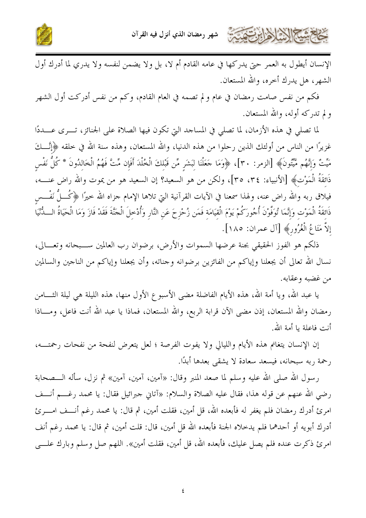

الإنسان أيطول به العمر حتى يدركها في عامه القادم أم لا، بل ولا يضمن لنفسه ولا يدري لما أدرك أول الشهر، هل يدرك أحره، والله المستعان.

فكم من نفس صامت رمضان في عام و لم تصمه في العام القادم، وكم من نفس أدركت أول الشهر ولم تدركه أوله، والله المستعان.

لما تصلى في هذه الأزمان، لما تصلى في المساحد التي تكون فيها الصلاة على الجنائز، تـــرى عــــددًا غزيرًا من الناس من أولئك الذين رحلوا من هذه الدنيا، والله المستعان، وهذه سنة الله في خلقه ﴿إِنَّـــاكَ مَيِّتٌ وَإِنَّهُم مَّيَّتُونَ﴾ [الزمر: ٣٠]، ﴿وَمَا حَعَلْنَا لبَشَر مِّن قَبْلكَ الْخُلْدَ أَفَإِن مِّتَّ فَهُمُ الْخَالدُونَ \* كُلُّ نَفْس ذَائِقَةُ الْمَوْتِ﴾ [الأنبياء: ٣٤، ٣٥]، ولكن من هو السعيد؟ إن السعيد هو من يموت والله راض عنــــه، فيلاق ربه والله راض عنه، ولهذا سمعنا في الآيات القرآنية التي تلاها الإمام جزاه الله خيرًا ﴿كُــلُّ نَفْــس ذَائقَةُ الْمَوْت وَإِنَّمَا تُوَفَّوْنَ أُجُورَكُمْ يَوْمَ الْقيَامَة فَمَن زُحْزِحَ عَن النَّار وَأُدْحلَ الْحَنَّةَ فَقَدْ فَازَ وَمَا الْحَيَاةُ الـــدُّنْيَا إِلاَّ مَتَاعُ الْغُرُورِ﴾ [آل عمران: ١٨٥].

ذلكم هو الفوز الحقيقي بجنة عرضها السموات والأرض، برضوان رب العالمين ســبحانه وتعـــالي، نسال الله تعالى أن يجعلنا وإياكم من الفائزين برضوانه وحناته، وأن يجعلنا وإياكم من الناحين والسالمين من غضبه وعقابه.

يا عبد الله، ويا أمة الله، هذه الأيام الفاضلة مضى الأسبو ع الأول منها، هذه الليلة هي ليلة الثــــامن رمضان والله المستعان، إذن مضى الآن قرابة الربع، والله المستعان، فماذا يا عبد الله أنت فاعل، ومـــاذا أنت فاعلة يا أمة الله.

إن الإنسان يتغانم هذه الأيام والليالي ولا يفوت الفرصة ؛ لعل يتعرض لنفحة من نفحات رحمته، رحمة ربه سبحانه، فيسعد سعادة لا يشقى بعدها أبدًا.

رسول الله صلى الله عليه وسلم لما صعد المنبر وقال: «آمين، آمين، آمين» ثم نزل، سأله الـــصحابة رضي الله عنهم عن قوله هذا، فقال عليه الصلاة والسلام: «آتاني حبرائيل فقال: يا محمد رغـــم أنـــف امرئ أدرك رمضان فلم يغفر له فأبعده الله، قل أمين، فقلت أمين، ثم قال: يا محمد رغم أنـــف امــــرئ أدرك أبويه أو أحدهما فلم يدحلاه الجنة فأبعده الله قل أمين، قال: قلت أمين، ثم قال: يا محمد رغم أنف امرئ ذكرت عنده فلم يصل عليك، فأبعده الله، قل أمين، فقلت أمين». اللهم صل وسلم وبارك علـــي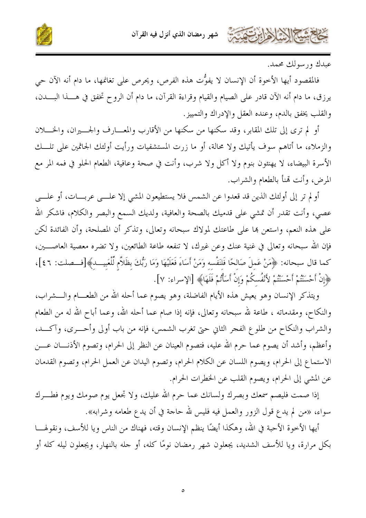



عيدك ورسولك محمد.

فالمقصود أيها الأخوة أن الإنسان لا يفوُّت هذه الفرص، ويحرص على تغانمها، ما دام أنه الآن حي يرزق، ما دام أنه الآن قادر على الصيام والقيام وقراءة القرآن، ما دام أن الروح تخفق في هـــذا البــــدن، والقلب يخفق بالدم، وعنده العقل والإدراك والتمييز.

أو لم ترى إلى تلك المقابر، وقد سكنها من سكنها من الأقارب والمعسارف والجــــيران، والخـــــلان والزملاء، ما أتاهم سوف يأتيك ولا محالة، أو ما زرت المستشفيات ورأيت أولئك الجاثمين على تلـــك الأسرة البيضاء، لا يهنئون بنوم ولا أكل ولا شرب، وأنت في صحة وعافية، الطعام الحلو في فمه المر مع المرض، وأنت تمنأ بالطعام والشراب.

أو لم تر إلى أولئك الذين قد قعدوا عن الشمس فلا يستطيعون المشي إلا علـــي عربـــات، أو علـــي عصي، وأنت تقدر أن تمشي على قدميك بالصحة والعافية، ولديك السمع والبصر والكلام، فاشكر الله على هذه النعم، واستعن هما على طاعتك لمولاك سبحانه وتعالى، وتذكر أن المصلحة، وأن الفائدة لكن فإن الله سبحانه وتعالى في غنية عنك وعن غيرك، لا تنفعه طاعة الطائعين، ولا تضره معصية العاصــــين، كما قال سبحانه: ﴿هَنْ عَملَ صَالحًا فَلنَفْسه وَمَنْ أَسَاءَ فَعَلَيْهَا وَمَا رَبُّكَ بظَلاَّم لِّلْعَبيـــد﴾[فـــصلت: ٤٦]، ﴿إِنْ أَحْسَنْتُمْ أَحْسَنْتُمْ لأَنْفُسكُمْ وَإِنْ أَسَأْتُمْ فَلَهَا﴾ [الإسراء: ٧].

ويتذكر الإنسان وهو يعيش هذه الأيام الفاضلة، وهو يصوم عما أحله الله من الطعـــام والــــشراب، والنكاح، ومقدماته ، طاعة لله سبحانه وتعالى، فإنه إذا صام عما أحله الله، وعما أباح الله له من الطعام والشراب والنكاح من طلوع الفجر الثاني حتى تغرب الشمس، فإنه من باب أولى وأحــــرى، وآكــــد، وأعظم، وأشد أن يصوم عما حرم الله عليه، فتصوم العينان عن النظر إلى الحرام، وتصوم الأذنـــان عــــن الاستماع إلى الحرام، ويصوم اللسان عن الكلام الحرام، وتصوم اليدان عن العمل الحرام، وتصوم القدمان عن المشي إلى الحرام، ويصوم القلب عن الخطرات الحرام.

إذا صمت فليصم سمعك وبصرك ولسانك عما حرم الله عليك، ولا تجعل يوم صومك ويوم فطـــرك سواء، «من لم يدع قول الزور والعمل فيه فليس لله حاجة في أن يدع طعامه وشرابه».

أيها الأخوة الأحبة في الله، وهكذا أيضًا ينظم الإنسان وقته، فهناك من الناس ويا للأسف، ونقولهــــا بكل مرارة، ويا للأسف الشديد، يجعلون شهر رمضان نومًا كله، أو حله بالنهار، ويجعلون ليله كله أو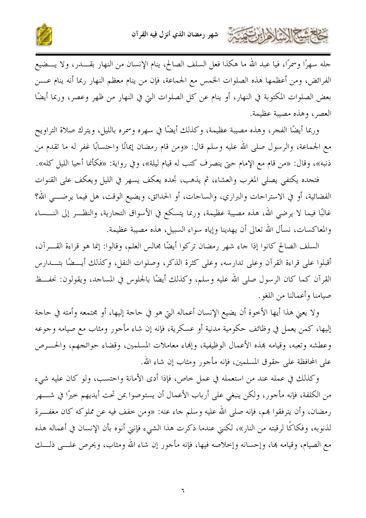

جله سهرًا وسمرًا، فيا عبد الله ما هكذا فعل السلف الصالح، ينام الإنسان من النهار بقــــدر، ولا يـــضيع الفرائض، ومن أعظمها هذه الصلوات الخمس مع الجماعة، فإن من ينام معظم النهار ربما أنه ينام عـــن بعض الصلوات المكتوبة في النهار، أو ينام عن كل الصلوات التي في النهار من ظهر وعصر، وربما أيضًا العصر، وهذه مصيبة عظيمة.

وربما أيضًا الفجر، وهذه مصيبة عظيمة، وكذلك أيضًا في سهره وسمره بالليل، ويترك صلاة التراويح مع الجماعة، والرسول صلى الله عليه وسلم قال: «ومن قام رمضان إيمانًا واحتسابًا غفر له ما تقدم من ذنبه»، وقال: «من قام مع الإمام حتى ينصرف كتب له قيام ليلة»، وفي رواية: «فكأنما أحيا الليل كله».

فتجده يكتفي يصلى المغرب والعشاء، ثم يذهب، تجده يعكف يسهر في الليل ويعكف على القنوات الفضائية، أو في الاستراحات والبراري، والساحات، أو الحدائق، ويضيع الوقت، هل فيما يرضــــي الله؟ غالبًا فيما لا يرضى الله، هذه مصيبة عظيمة، وربما يتسكع في الأسواق التجارية، والنظـــر إلى النــــساء والمعاكسات، نسأل الله تعالى أن يهدينا وإياه سواء السبيل، هذه مصيبة عظيمة.

السلف الصالح كانوا إذا جاء شهر رمضان تركوا أيضًا مجالس العلم، وقالوا: إنما هو قراءة القـــرآن، أقبلوا على قراءة القرآن وعلى تدارسه، وعلى كثرة الذكر، وصلوات النفل، وكذلك أيـــضًا بتـــدارس القرآن كما كان الرسول صلى الله عليه وسلم، وكذلك أيضًا بالجلوس في المساحد، ويقولون: نحفــظ صيامنا وأعمالنا من اللغو .

ولا يعني هذا أيها الأخوة أن يضيع الإنسان أعماله التي هو في حاجة إليها، أو مجتمعه وأمته في حاجة إليها، كمن يعمل في وظائف حكومية مدنية أو عسكرية، فإنه إن شاء مأجور ومثاب مع صيامه وجوعه وعطشه وتعبه، وقيامه بمذه الأعمال الوظيفية، وإنهاء معاملات المسلمين، وقضاء حوائجهم، والحـــرص على المحافظة على حقوق المسلمين، فإنه مأجورٍ ومثابٍ إن شاءِ اللهِ.

وكذلك في عمله عند من استعمله في عمل خاص، فإذا أدى الأمانة واحتسب، ولو كان عليه شيء من الكلفة، فإنه مأجور، ولكن ينبغي على أرباب الأعمال أن يستوصوا بمن تحت أيديهم حيرًا في شــــهر رمضان، وأن يترفقوا بمم، فإنه صلى الله عليه وسلم جاء عنه: «ومن خفف فيه عن مملوكه كان مغفـــرة لذنوبه، وفكاكًا لرقبته من النار»، لكنني عندما ذكرت هذا الشيء فإنني أنوه بأن الإنسان في أعماله هذه مع الصيام، وقيامه بما، وإحسانه وإخلاصه فيها، فإنه مأجور إن شاء الله ومثاب، ويحرص علـــى ذلــــك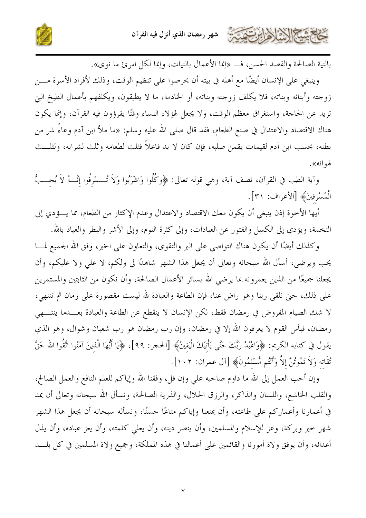



بالنية الصالحة والقصد الحسن، فـــ «إنما الأعمال بالنيات، وإنما لكل امرئ ما نوى».

وينبغي على الإنسان أيضًا مع أهله في بيته أن يحرصوا على تنظيم الوقت، وذلك لأفراد الأسرة مـــن زوجته وأبنائه وبناته، فلا يكلف زوجته وبناته، أو الخادمة، ما لا يطيقون، ويكلفهم بأعمال الطبخ التي تزيد عن الحاجة، واستغراق معظم الوقت، ولا يجعل لهؤلاء النساء وقتًا يقرؤون فيه القرآن، وإنما يكون هناك الاقتصاد والاعتدال في صنع الطعام، فقد قال صلى الله عليه وسلم: «ما ملأ ابن آدم وعاءً شر من بطنه، بحسب ابن آدم لقيمات يقمن صلبه، فإن كان لا بد فاعلاً فثلث لطعامه وثلث لشرابه، ولثلـــث لهو ائه».

وآية الطب في القرآن، نصف آية، وهي قوله تعالى: ﴿وكُلُوا وَاشْرَبُوا وَلاَ تُـــسْرِفُوا إِنَّـــهُ لاَ يُحـــبُّ الْمُسْرِفِينَ﴾ [الأعراف: ٣١].

أيها الأخوة إذن ينبغي أن يكون معك الاقتصاد والاعتدال وعدم الإكثار من الطعام، مما يـــؤدي إلى التخمة، ويؤدي إلى الكسل والفتور عن العبادات، وإلى كثرة النوم، وإلى الأشر والبطر والعياذ بالله.

وكذلك أيضًا أن يكون هناك التواصي على البر والتقوى، والتعاون على الخير، وفق الله الجميع لمـــا يحب ويرضى، أسأل الله سبحانه وتعالى أن يجعل هذا الشهر شاهدًا لي ولكم، لا على ولا عليكم، وأن يجعلنا جميعًا من الذين يعمرونه بما يرضى الله بسائر الأعمال الصالحة، وأن نكون من الثابتين والمستمرين على ذلك، حتى نلقى ربنا وهو راض عنا، فإن الطاعة والعبادة لله ليست مقصورة على زمان ثم تنتهي، لا شك الصيام المفروض في رمضان فقط، لكن الإنسان لا ينقطع عن الطاعة والعبادة بعـــدما ينتــــهي رمضان، فبأس القوم لا يعرفون الله إلا في رمضان، وإن رب رمضان هو رب شعبان وشوال، وهو الذي يقول في كتابه الكريم: ﴿وَاعْبُدْ رَبَّكَ حَتَّى يَأْتَيَكَ الْيَقِينُ﴾ [الحجر: ٩٩]، ﴿يَا أَيُّهَا الَّذينَ آمَنُوا اتَّقُوا اللهَ حَقَّ تُقَاته وَلاَ تَمُوتُنَّ إلاَّ وَأَنْتُم مُّسْلَمُونَ﴾ [آل عمران: ١٠٢].

وإن أحب العمل إلى الله ما داوم صاحبه على وإن قل، وفقنا الله وإياكم للعلم النافع والعمل الصالح، والقلب الخاشع، واللسان والذاكر، والرزق الحلال، والذرية الصالحة، ونسأل الله سبحانه وتعالى أن يمد في أعمارنا وأعماركم على طاعته، وأن يمتعنا وإياكم متاعًا حسنًا، ونسأله سبحانه أن يجعل هذا الشهر شهر خير وبركة، وعز للإسلام والمسلمين، وأن ينصر دينه، وأن يعلي كلمته، وأن يعز عباده، وأن يذل أعدائه، وأن يوفق ولاة أمورنا والقائمين على أعمالنا في هذه المملكة، وجميع ولاة المسلمين في كل بلـــد